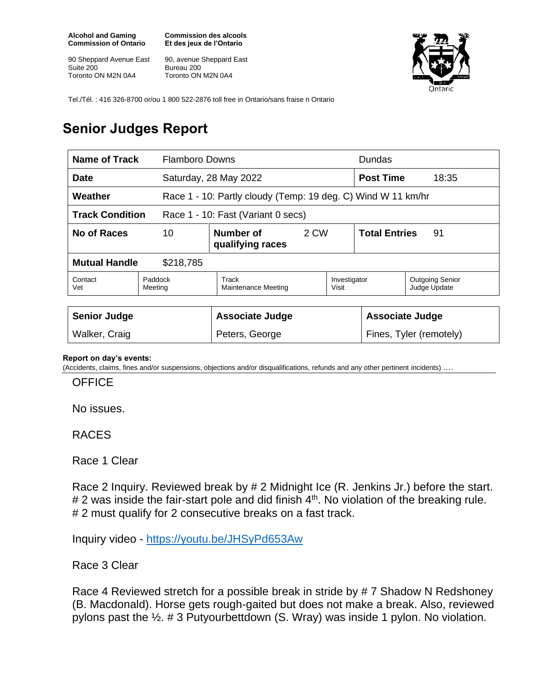**Alcohol and Gaming Commission of Ontario**

90 Sheppard Avenue East Suite 200 Toronto ON M2N 0A4

**Commission des alcools Et des jeux de l'Ontario**

90, avenue Sheppard East Bureau 200 Toronto ON M2N 0A4



Tel./Tél. : 416 326-8700 or/ou 1 800 522-2876 toll free in Ontario/sans fraise n Ontario

## **Senior Judges Report**

| Name of Track                                                |                    | <b>Flamboro Downs</b>                                        |      |                         | <b>Dundas</b>              |                                        |
|--------------------------------------------------------------|--------------------|--------------------------------------------------------------|------|-------------------------|----------------------------|----------------------------------------|
| Date                                                         |                    | Saturday, 28 May 2022                                        |      |                         | <b>Post Time</b><br>18:35  |                                        |
| Weather                                                      |                    | Race 1 - 10: Partly cloudy (Temp: 19 deg. C) Wind W 11 km/hr |      |                         |                            |                                        |
| <b>Track Condition</b><br>Race 1 - 10: Fast (Variant 0 secs) |                    |                                                              |      |                         |                            |                                        |
| No of Races                                                  | 10                 | Number of<br>qualifying races                                | 2 CW |                         | <b>Total Entries</b><br>91 |                                        |
| <b>Mutual Handle</b><br>\$218,785                            |                    |                                                              |      |                         |                            |                                        |
| Contact<br>Vet                                               | Paddock<br>Meeting | Track<br>Maintenance Meeting                                 |      | Investigator<br>Visit   |                            | <b>Outgoing Senior</b><br>Judge Update |
|                                                              |                    |                                                              |      |                         |                            |                                        |
| <b>Senior Judge</b>                                          |                    | <b>Associate Judge</b>                                       |      | <b>Associate Judge</b>  |                            |                                        |
| Walker, Craig                                                |                    | Peters, George                                               |      | Fines, Tyler (remotely) |                            |                                        |

## **Report on day's events:**

(Accidents, claims, fines and/or suspensions, objections and/or disqualifications, refunds and any other pertinent incidents) ….

**OFFICE** 

No issues.

RACES

Race 1 Clear

Race 2 Inquiry. Reviewed break by # 2 Midnight Ice (R. Jenkins Jr.) before the start.  $# 2$  was inside the fair-start pole and did finish  $4<sup>th</sup>$ . No violation of the breaking rule. # 2 must qualify for 2 consecutive breaks on a fast track.

Inquiry video - <https://youtu.be/JHSyPd653Aw>

Race 3 Clear

Race 4 Reviewed stretch for a possible break in stride by # 7 Shadow N Redshoney (B. Macdonald). Horse gets rough-gaited but does not make a break. Also, reviewed pylons past the ½. # 3 Putyourbettdown (S. Wray) was inside 1 pylon. No violation.